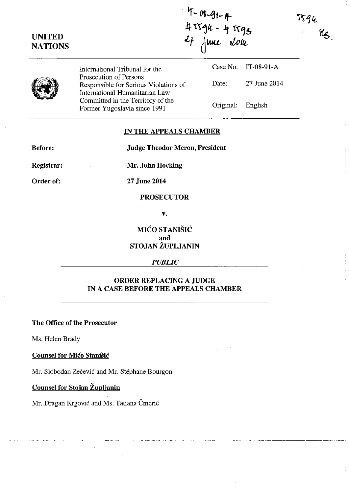JJ 94

 $\%$ 

# **UNITED NATIONS**

T-08-91-A **4 rr1lt - ;** !~~b 27 june 2014 Case No. IT-08-91-A



International Tribunal for the Prosecution of Persons Responsible for Serious Violations of International Humanitarian Law Committed in the Territory of the Former Yugoslavia since 1991

Date: 27 June 2014 Original: English

## **IN THE APPEALS CHAMBER**

**Before:** 

**Judge Theodor Meron, President** 

**Registrar:** 

Order of:

**27 June 2014** 

**Mr. John Hocking** 

# **PROSECUTOR**

v.

MI(~O **STANISIC and STOJAN ZUPLJANIN** 

#### *PUBLIC*

# **ORDER REPLACING A JUDGE IN A CASE BEFORE THE APPEALS CHAMBER**

**The Office of the Prosecutor** 

Ms. Helen Brady

### **Counsel for Mico Stanišic**

Mr. Slobodan Zečević and Mr. Stéphane Bourgon

**Counsel for Stojan Zuplianin** 

Mr. Dragan Krgović and Ms. Tatiana Čmerić